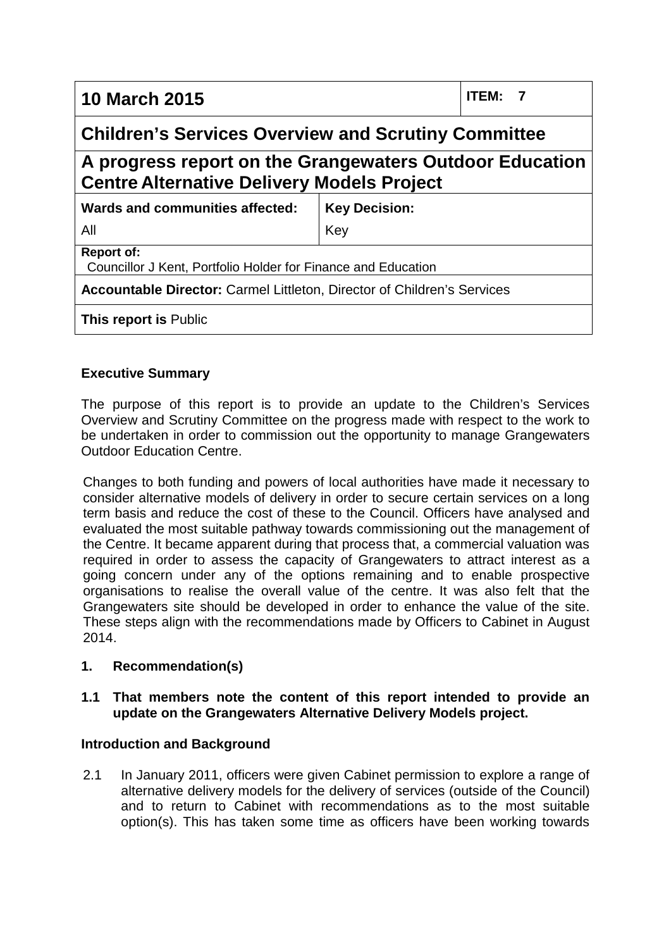| <b>10 March 2015</b>                                                                                         |                      | <b>ITEM:</b><br>7 |
|--------------------------------------------------------------------------------------------------------------|----------------------|-------------------|
| <b>Children's Services Overview and Scrutiny Committee</b>                                                   |                      |                   |
| A progress report on the Grangewaters Outdoor Education<br><b>Centre Alternative Delivery Models Project</b> |                      |                   |
| Wards and communities affected:                                                                              | <b>Key Decision:</b> |                   |
| All                                                                                                          | Key                  |                   |
| <b>Report of:</b><br>Councillor J Kent, Portfolio Holder for Finance and Education                           |                      |                   |
| Accountable Director: Carmel Littleton, Director of Children's Services                                      |                      |                   |
| <b>This report is Public</b>                                                                                 |                      |                   |

# **Executive Summary**

The purpose of this report is to provide an update to the Children's Services Overview and Scrutiny Committee on the progress made with respect to the work to be undertaken in order to commission out the opportunity to manage Grangewaters Outdoor Education Centre.

Changes to both funding and powers of local authorities have made it necessary to consider alternative models of delivery in order to secure certain services on a long term basis and reduce the cost of these to the Council. Officers have analysed and evaluated the most suitable pathway towards commissioning out the management of the Centre. It became apparent during that process that, a commercial valuation was required in order to assess the capacity of Grangewaters to attract interest as a going concern under any of the options remaining and to enable prospective organisations to realise the overall value of the centre. It was also felt that the Grangewaters site should be developed in order to enhance the value of the site. These steps align with the recommendations made by Officers to Cabinet in August 2014.

## **1. Recommendation(s)**

## **1.1 That members note the content of this report intended to provide an update on the Grangewaters Alternative Delivery Models project.**

## **Introduction and Background**

2.1 In January 2011, officers were given Cabinet permission to explore a range of alternative delivery models for the delivery of services (outside of the Council) and to return to Cabinet with recommendations as to the most suitable option(s). This has taken some time as officers have been working towards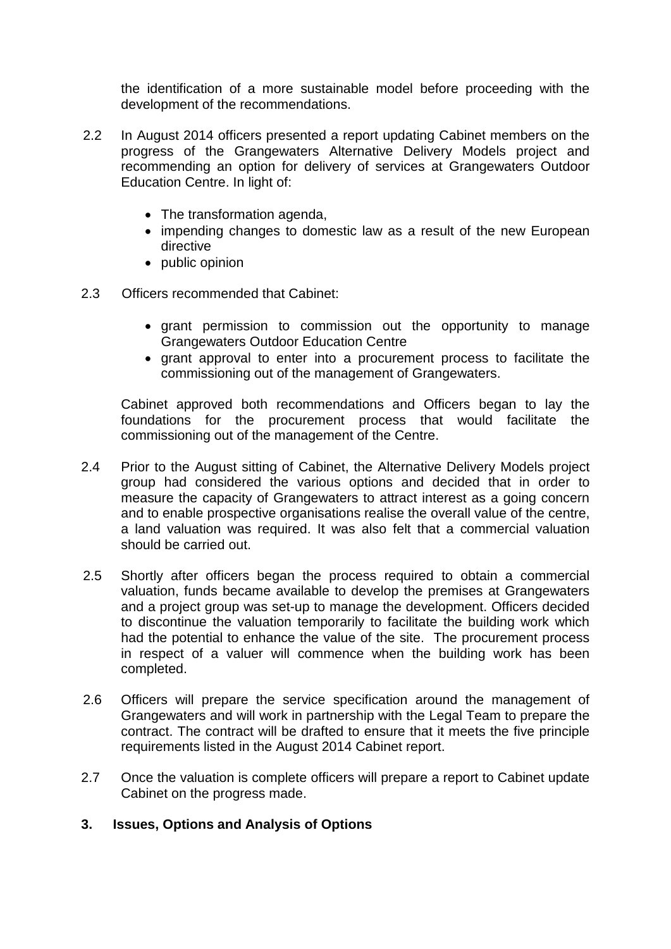the identification of a more sustainable model before proceeding with the development of the recommendations.

- 2.2 In August 2014 officers presented a report updating Cabinet members on the progress of the Grangewaters Alternative Delivery Models project and recommending an option for delivery of services at Grangewaters Outdoor Education Centre. In light of:
	- The transformation agenda,
	- impending changes to domestic law as a result of the new European directive
	- public opinion
- 2.3 Officers recommended that Cabinet:
	- grant permission to commission out the opportunity to manage Grangewaters Outdoor Education Centre
	- grant approval to enter into a procurement process to facilitate the commissioning out of the management of Grangewaters.

Cabinet approved both recommendations and Officers began to lay the foundations for the procurement process that would facilitate the commissioning out of the management of the Centre.

- 2.4 Prior to the August sitting of Cabinet, the Alternative Delivery Models project group had considered the various options and decided that in order to measure the capacity of Grangewaters to attract interest as a going concern and to enable prospective organisations realise the overall value of the centre, a land valuation was required. It was also felt that a commercial valuation should be carried out.
- 2.5 Shortly after officers began the process required to obtain a commercial valuation, funds became available to develop the premises at Grangewaters and a project group was set-up to manage the development. Officers decided to discontinue the valuation temporarily to facilitate the building work which had the potential to enhance the value of the site. The procurement process in respect of a valuer will commence when the building work has been completed.
- 2.6 Officers will prepare the service specification around the management of Grangewaters and will work in partnership with the Legal Team to prepare the contract. The contract will be drafted to ensure that it meets the five principle requirements listed in the August 2014 Cabinet report.
- 2.7 Once the valuation is complete officers will prepare a report to Cabinet update Cabinet on the progress made.

## **3. Issues, Options and Analysis of Options**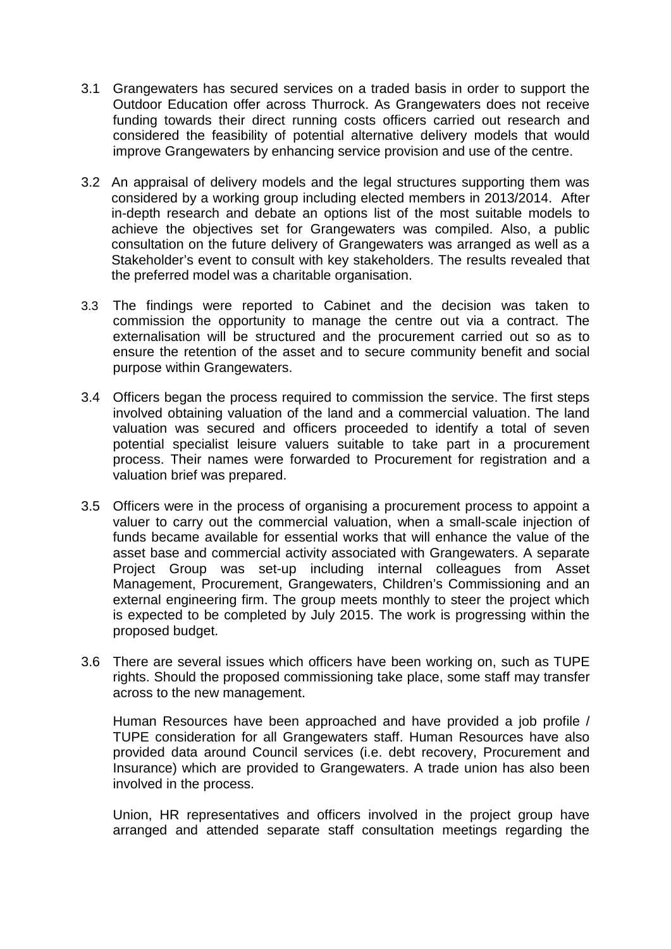- 3.1 Grangewaters has secured services on a traded basis in order to support the Outdoor Education offer across Thurrock. As Grangewaters does not receive funding towards their direct running costs officers carried out research and considered the feasibility of potential alternative delivery models that would improve Grangewaters by enhancing service provision and use of the centre.
- 3.2 An appraisal of delivery models and the legal structures supporting them was considered by a working group including elected members in 2013/2014. After in-depth research and debate an options list of the most suitable models to achieve the objectives set for Grangewaters was compiled. Also, a public consultation on the future delivery of Grangewaters was arranged as well as a Stakeholder's event to consult with key stakeholders. The results revealed that the preferred model was a charitable organisation.
- 3.3 The findings were reported to Cabinet and the decision was taken to commission the opportunity to manage the centre out via a contract. The externalisation will be structured and the procurement carried out so as to ensure the retention of the asset and to secure community benefit and social purpose within Grangewaters.
- 3.4 Officers began the process required to commission the service. The first steps involved obtaining valuation of the land and a commercial valuation. The land valuation was secured and officers proceeded to identify a total of seven potential specialist leisure valuers suitable to take part in a procurement process. Their names were forwarded to Procurement for registration and a valuation brief was prepared.
- 3.5 Officers were in the process of organising a procurement process to appoint a valuer to carry out the commercial valuation, when a small-scale injection of funds became available for essential works that will enhance the value of the asset base and commercial activity associated with Grangewaters. A separate Project Group was set-up including internal colleagues from Asset Management, Procurement, Grangewaters, Children's Commissioning and an external engineering firm. The group meets monthly to steer the project which is expected to be completed by July 2015. The work is progressing within the proposed budget.
- 3.6 There are several issues which officers have been working on, such as TUPE rights. Should the proposed commissioning take place, some staff may transfer across to the new management.

Human Resources have been approached and have provided a job profile / TUPE consideration for all Grangewaters staff. Human Resources have also provided data around Council services (i.e. debt recovery, Procurement and Insurance) which are provided to Grangewaters. A trade union has also been involved in the process.

Union, HR representatives and officers involved in the project group have arranged and attended separate staff consultation meetings regarding the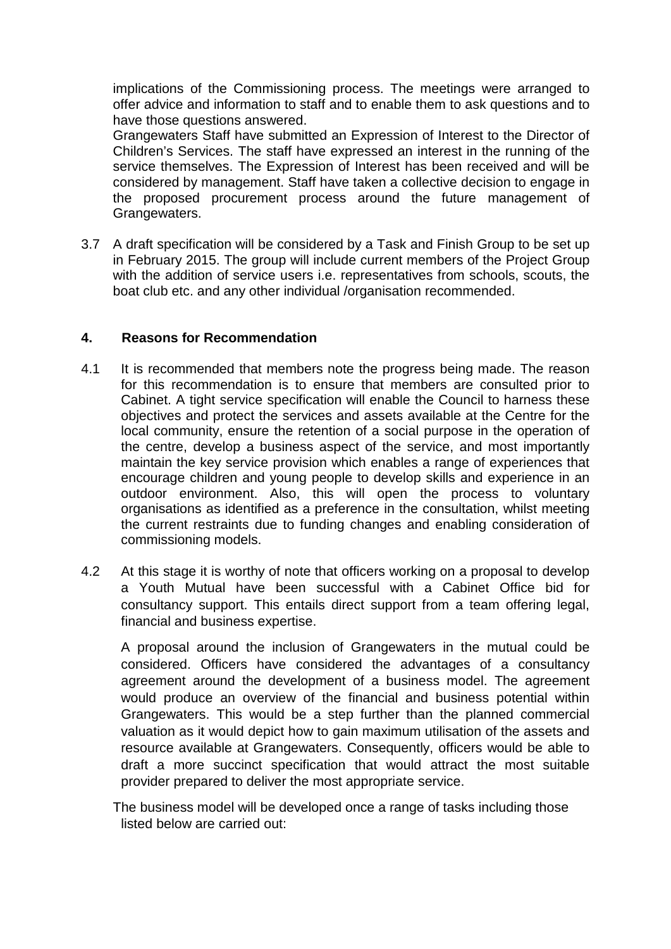implications of the Commissioning process. The meetings were arranged to offer advice and information to staff and to enable them to ask questions and to have those questions answered.

Grangewaters Staff have submitted an Expression of Interest to the Director of Children's Services. The staff have expressed an interest in the running of the service themselves. The Expression of Interest has been received and will be considered by management. Staff have taken a collective decision to engage in the proposed procurement process around the future management of Grangewaters.

3.7 A draft specification will be considered by a Task and Finish Group to be set up in February 2015. The group will include current members of the Project Group with the addition of service users i.e. representatives from schools, scouts, the boat club etc. and any other individual /organisation recommended.

# **4. Reasons for Recommendation**

- 4.1 It is recommended that members note the progress being made. The reason for this recommendation is to ensure that members are consulted prior to Cabinet. A tight service specification will enable the Council to harness these objectives and protect the services and assets available at the Centre for the local community, ensure the retention of a social purpose in the operation of the centre, develop a business aspect of the service, and most importantly maintain the key service provision which enables a range of experiences that encourage children and young people to develop skills and experience in an outdoor environment. Also, this will open the process to voluntary organisations as identified as a preference in the consultation, whilst meeting the current restraints due to funding changes and enabling consideration of commissioning models.
- 4.2 At this stage it is worthy of note that officers working on a proposal to develop a Youth Mutual have been successful with a Cabinet Office bid for consultancy support. This entails direct support from a team offering legal, financial and business expertise.

A proposal around the inclusion of Grangewaters in the mutual could be considered. Officers have considered the advantages of a consultancy agreement around the development of a business model. The agreement would produce an overview of the financial and business potential within Grangewaters. This would be a step further than the planned commercial valuation as it would depict how to gain maximum utilisation of the assets and resource available at Grangewaters. Consequently, officers would be able to draft a more succinct specification that would attract the most suitable provider prepared to deliver the most appropriate service.

The business model will be developed once a range of tasks including those listed below are carried out: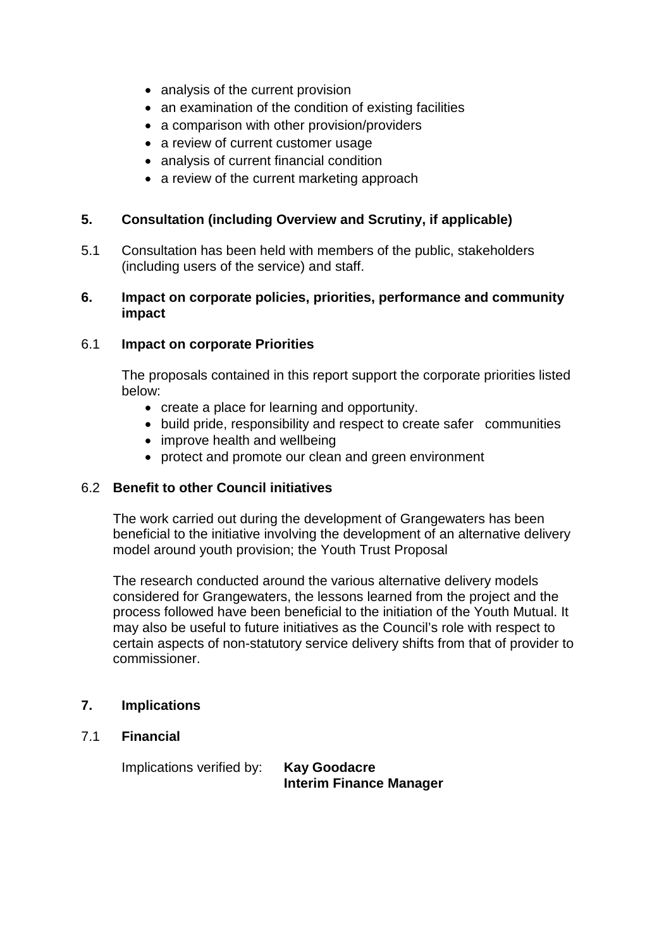- analysis of the current provision
- an examination of the condition of existing facilities
- a comparison with other provision/providers
- a review of current customer usage
- analysis of current financial condition
- a review of the current marketing approach

# **5. Consultation (including Overview and Scrutiny, if applicable)**

5.1 Consultation has been held with members of the public, stakeholders (including users of the service) and staff.

#### **6. Impact on corporate policies, priorities, performance and community impact**

## 6.1 **Impact on corporate Priorities**

The proposals contained in this report support the corporate priorities listed below:

- create a place for learning and opportunity.
- build pride, responsibility and respect to create safer communities
- improve health and wellbeing
- protect and promote our clean and green environment

# 6.2 **Benefit to other Council initiatives**

The work carried out during the development of Grangewaters has been beneficial to the initiative involving the development of an alternative delivery model around youth provision; the Youth Trust Proposal

The research conducted around the various alternative delivery models considered for Grangewaters, the lessons learned from the project and the process followed have been beneficial to the initiation of the Youth Mutual. It may also be useful to future initiatives as the Council's role with respect to certain aspects of non-statutory service delivery shifts from that of provider to commissioner.

## **7. Implications**

7.1 **Financial**

Implications verified by: **Kay Goodacre**

**Interim Finance Manager**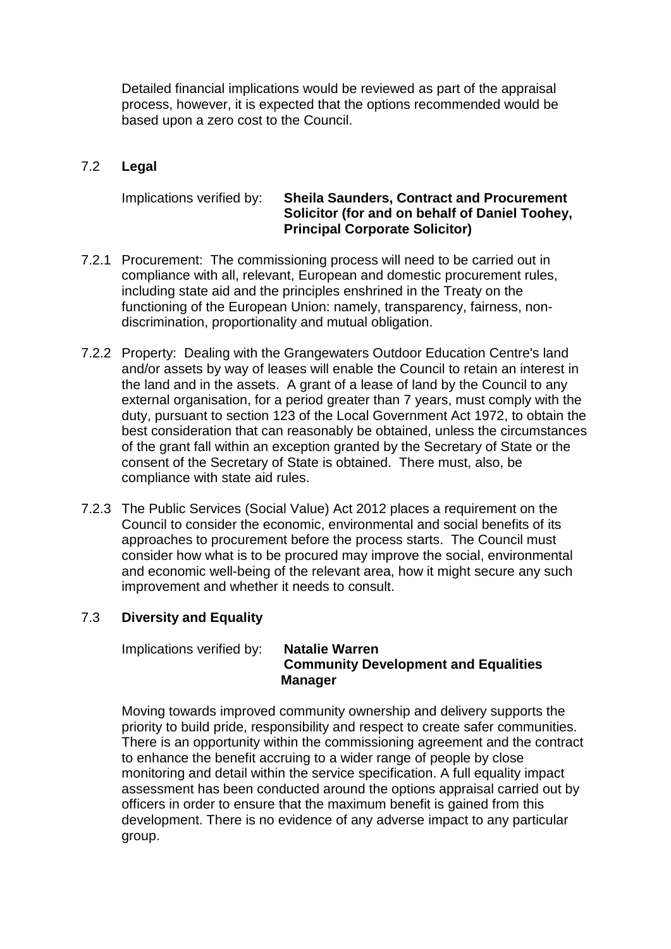Detailed financial implications would be reviewed as part of the appraisal process, however, it is expected that the options recommended would be based upon a zero cost to the Council.

# 7.2 **Legal**

## Implications verified by: **Sheila Saunders, Contract and Procurement Solicitor (for and on behalf of Daniel Toohey, Principal Corporate Solicitor)**

- 7.2.1 Procurement: The commissioning process will need to be carried out in compliance with all, relevant, European and domestic procurement rules, including state aid and the principles enshrined in the Treaty on the functioning of the European Union: namely, transparency, fairness, nondiscrimination, proportionality and mutual obligation.
- 7.2.2 Property: Dealing with the Grangewaters Outdoor Education Centre's land and/or assets by way of leases will enable the Council to retain an interest in the land and in the assets. A grant of a lease of land by the Council to any external organisation, for a period greater than 7 years, must comply with the duty, pursuant to section 123 of the Local Government Act 1972, to obtain the best consideration that can reasonably be obtained, unless the circumstances of the grant fall within an exception granted by the Secretary of State or the consent of the Secretary of State is obtained. There must, also, be compliance with state aid rules.
- 7.2.3 The Public Services (Social Value) Act 2012 places a requirement on the Council to consider the economic, environmental and social benefits of its approaches to procurement before the process starts. The Council must consider how what is to be procured may improve the social, environmental and economic well-being of the relevant area, how it might secure any such improvement and whether it needs to consult.

# 7.3 **Diversity and Equality**

Implications verified by: **Natalie Warren**

# **Community Development and Equalities Manager**

Moving towards improved community ownership and delivery supports the priority to build pride, responsibility and respect to create safer communities. There is an opportunity within the commissioning agreement and the contract to enhance the benefit accruing to a wider range of people by close monitoring and detail within the service specification. A full equality impact assessment has been conducted around the options appraisal carried out by officers in order to ensure that the maximum benefit is gained from this development. There is no evidence of any adverse impact to any particular group.